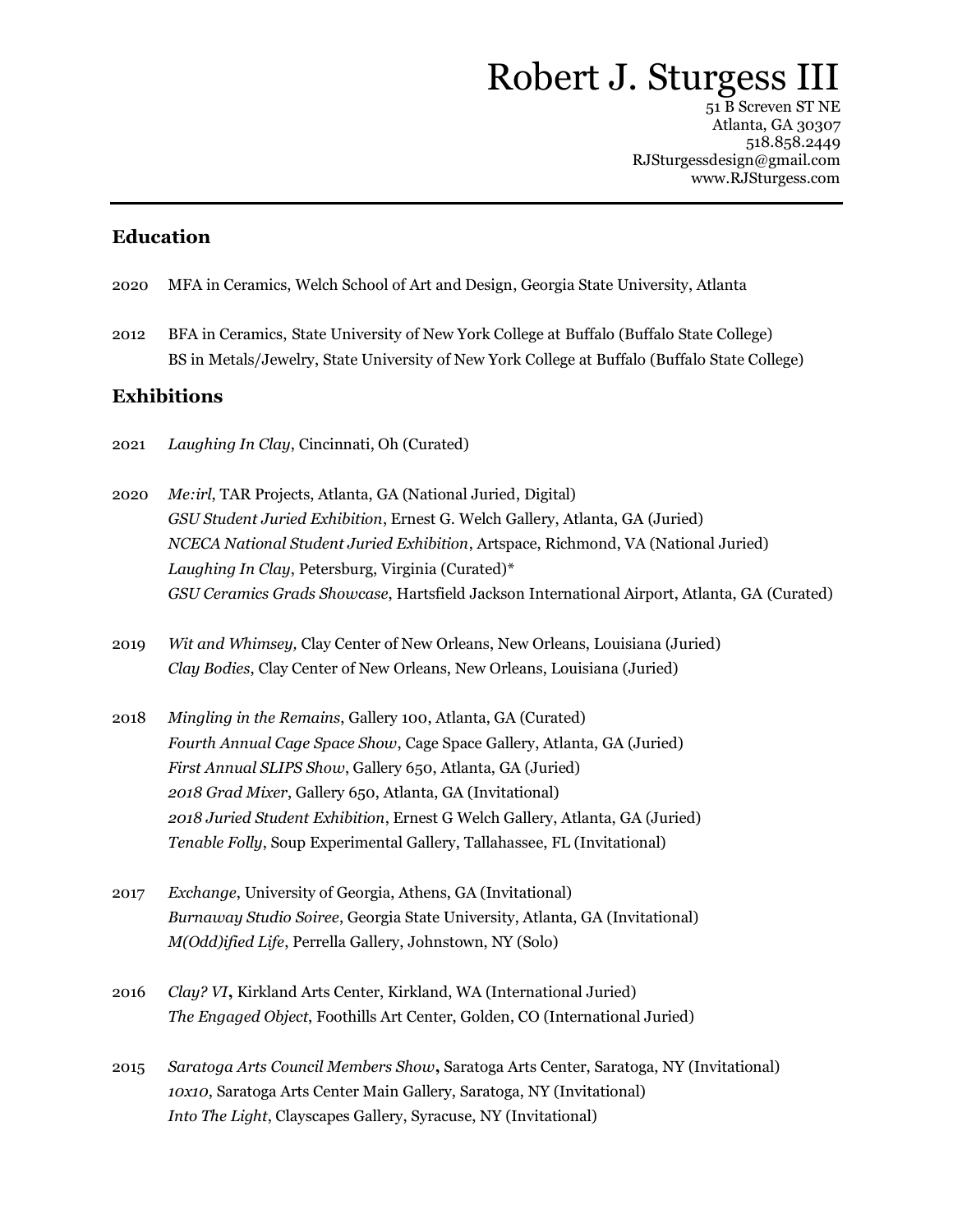# Robert J. Sturgess II

51 B Screven ST NE Atlanta, GA 30307 518.858.2449 RJSturgessdesign@gmail.com www.RJSturgess.com

#### **Education**

- 2020 MFA in Ceramics, Welch School of Art and Design, Georgia State University, Atlanta
- 2012 BFA in Ceramics, State University of New York College at Buffalo (Buffalo State College) BS in Metals/Jewelry, State University of New York College at Buffalo (Buffalo State College)

## **Exhibitions**

- 2021 *Laughing In Clay*, Cincinnati, Oh (Curated)
- 2020 *Me:irl*, TAR Projects, Atlanta, GA (National Juried, Digital) *GSU Student Juried Exhibition*, Ernest G. Welch Gallery, Atlanta, GA (Juried) *NCECA National Student Juried Exhibition*, Artspace, Richmond, VA (National Juried) *Laughing In Clay*, Petersburg, Virginia (Curated)\* *GSU Ceramics Grads Showcase*, Hartsfield Jackson International Airport, Atlanta, GA (Curated)
- 2019 *Wit and Whimsey,* Clay Center of New Orleans, New Orleans, Louisiana (Juried) *Clay Bodies*, Clay Center of New Orleans, New Orleans, Louisiana (Juried)
- 2018 *Mingling in the Remains*, Gallery 100, Atlanta, GA (Curated) *Fourth Annual Cage Space Show*, Cage Space Gallery, Atlanta, GA (Juried) *First Annual SLIPS Show*, Gallery 650, Atlanta, GA (Juried) *2018 Grad Mixer*, Gallery 650, Atlanta, GA (Invitational) *2018 Juried Student Exhibition*, Ernest G Welch Gallery, Atlanta, GA (Juried) *Tenable Folly*, Soup Experimental Gallery, Tallahassee, FL (Invitational)
- 2017 *Exchange*, University of Georgia, Athens, GA (Invitational) *Burnaway Studio Soiree*, Georgia State University, Atlanta, GA (Invitational) *M(Odd)ified Life*, Perrella Gallery, Johnstown, NY (Solo)
- 2016 *Clay? VI***,** Kirkland Arts Center, Kirkland, WA (International Juried) *The Engaged Object*, Foothills Art Center, Golden, CO (International Juried)
- 2015 *Saratoga Arts Council Members Show***,** Saratoga Arts Center, Saratoga, NY (Invitational) *10x10*, Saratoga Arts Center Main Gallery, Saratoga, NY (Invitational) *Into The Light*, Clayscapes Gallery, Syracuse, NY (Invitational)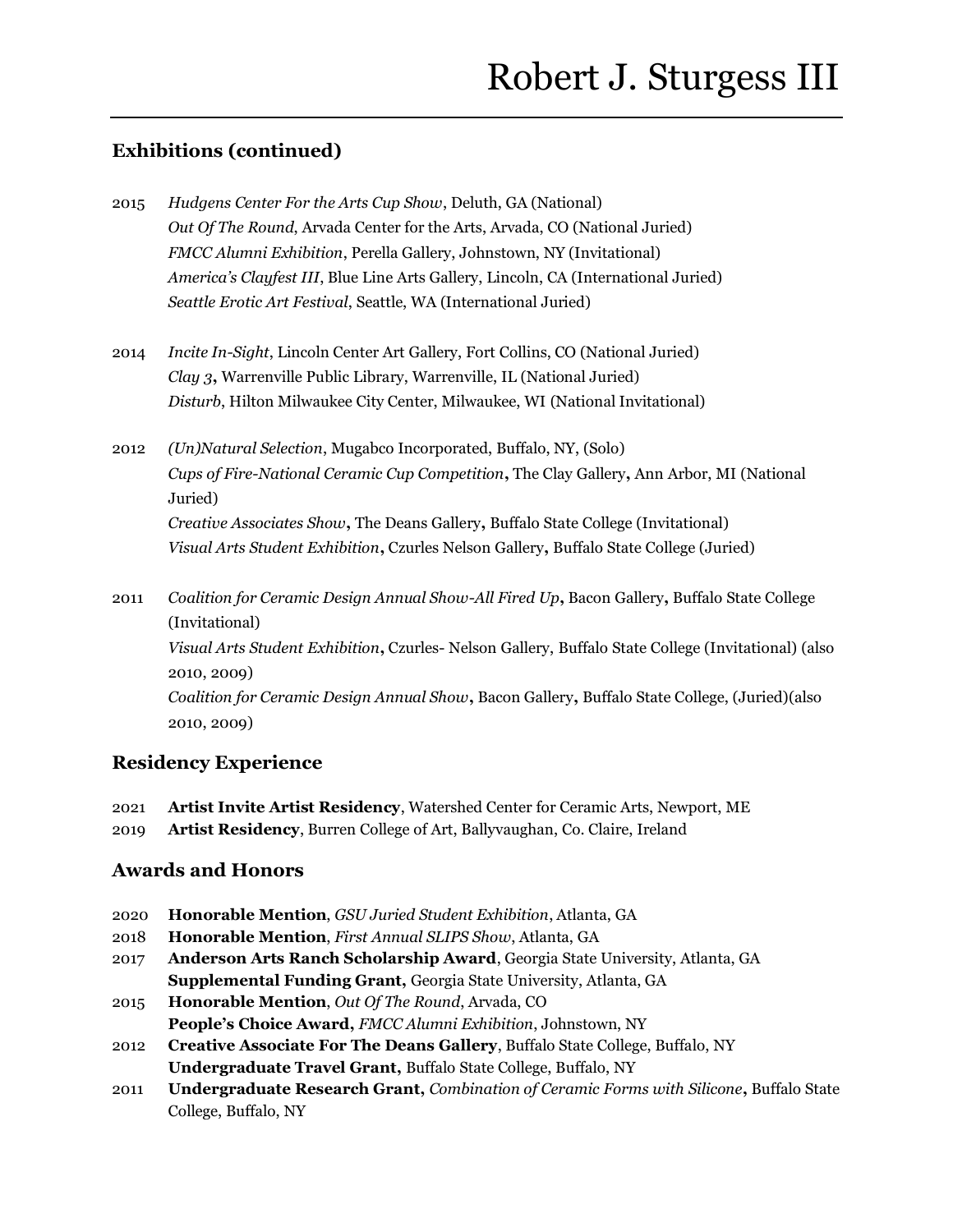## **Exhibitions (continued)**

- 2015 *Hudgens Center For the Arts Cup Show*, Deluth, GA (National) *Out Of The Round*, Arvada Center for the Arts, Arvada, CO (National Juried) *FMCC Alumni Exhibition*, Perella Gallery, Johnstown, NY (Invitational) *America's Clayfest III*, Blue Line Arts Gallery, Lincoln, CA (International Juried) *Seattle Erotic Art Festival*, Seattle, WA (International Juried)
- 2014 *Incite In-Sight*, Lincoln Center Art Gallery, Fort Collins, CO (National Juried) *Clay 3***,** Warrenville Public Library, Warrenville, IL (National Juried) *Disturb*, Hilton Milwaukee City Center, Milwaukee, WI (National Invitational)
- 2012 *(Un)Natural Selection*, Mugabco Incorporated, Buffalo, NY, (Solo) *Cups of Fire-National Ceramic Cup Competition***,** The Clay Gallery**,** Ann Arbor, MI (National Juried)

*Creative Associates Show***,** The Deans Gallery**,** Buffalo State College (Invitational) *Visual Arts Student Exhibition***,** Czurles Nelson Gallery**,** Buffalo State College (Juried)

2011 *Coalition for Ceramic Design Annual Show-All Fired Up***,** Bacon Gallery**,** Buffalo State College (Invitational) *Visual Arts Student Exhibition***,** Czurles- Nelson Gallery, Buffalo State College (Invitational) (also 2010, 2009) *Coalition for Ceramic Design Annual Show***,** Bacon Gallery**,** Buffalo State College, (Juried)(also 2010, 2009)

## **Residency Experience**

- 2021 **Artist Invite Artist Residency**, Watershed Center for Ceramic Arts, Newport, ME
- 2019 **Artist Residency**, Burren College of Art, Ballyvaughan, Co. Claire, Ireland

## **Awards and Honors**

- 2020 **Honorable Mention**, *GSU Juried Student Exhibition*, Atlanta, GA
- 2018 **Honorable Mention**, *First Annual SLIPS Show*, Atlanta, GA
- 2017 **Anderson Arts Ranch Scholarship Award**, Georgia State University, Atlanta, GA **Supplemental Funding Grant,** Georgia State University, Atlanta, GA
- 2015 **Honorable Mention**, *Out Of The Round*, Arvada, CO **People's Choice Award,** *FMCC Alumni Exhibition*, Johnstown, NY
- 2012 **Creative Associate For The Deans Gallery**, Buffalo State College, Buffalo, NY **Undergraduate Travel Grant,** Buffalo State College, Buffalo, NY
- 2011 **Undergraduate Research Grant,** *Combination of Ceramic Forms with Silicone***,** Buffalo State College, Buffalo, NY